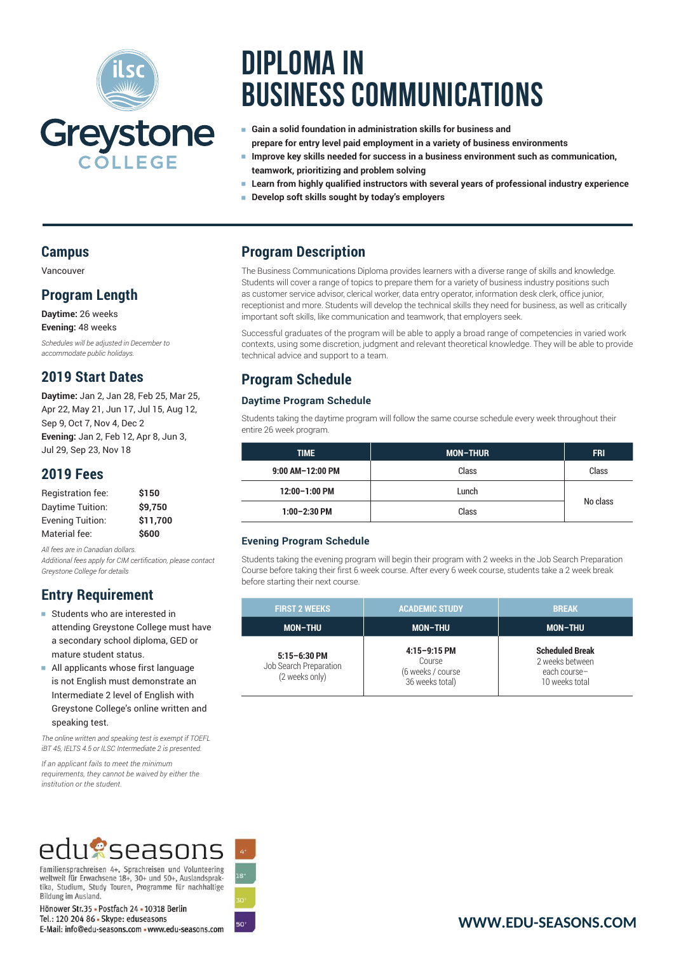

# **Diploma in Business Communications**

- <sup>e</sup> **Gain a solid foundation in administration skills for business and prepare for entry level paid employment in a variety of business environments**
- <sup>e</sup> **Improve key skills needed for success in a business environment such as communication, teamwork, prioritizing and problem solving**
- <sup>e</sup> **Learn from highly qualified instructors with several years of professional industry experience**
- <sup>e</sup> **Develop soft skills sought by today's employers**

### **Campus**

Vancouver

### **Program Length**

**Daytime:** 26 weeks **Evening:** 48 weeks

*Schedules will be adjusted in December to accommodate public holidays.*

### **2019 Start Dates**

**Daytime:** Jan 2, Jan 28, Feb 25, Mar 25, Apr 22, May 21, Jun 17, Jul 15, Aug 12, Sep 9, Oct 7, Nov 4, Dec 2 **Evening:** Jan 2, Feb 12, Apr 8, Jun 3, Jul 29, Sep 23, Nov 18

### **2019 Fees**

| \$150    |
|----------|
| \$9.750  |
| \$11,700 |
| \$600    |
|          |

*All fees are in Canadian dollars. Additional fees apply for CIM certification, please contact Greystone College for details*

## **Entry Requirement**

- **EXTENDING Students who are interested in** attending Greystone College must have a secondary school diploma, GED or mature student status.
- <sup>e</sup> All applicants whose first language is not English must demonstrate an Intermediate 2 level of English with Greystone College's online written and speaking test.

*The online written and speaking test is exempt if TOEFL iBT 45, IELTS 4.5 or ILSC Intermediate 2 is presented.*

*If an applicant fails to meet the minimum requirements, they cannot be waived by either the institution or the student.*

# edugseasons

Familiensprachreisen 4+, Sprachreisen und Volunteering<br>weltweit für Erwachsene 18+, 30+ und 50+, Auslandsprak-<br>tika, Studium, Study Touren, Programme für nachhaltige Bildung im Ausland.

Hönower Str.35 - Postfach 24 - 10318 Berlin Tel.: 120 204 86 - Skype: eduseasons E-Mail: info@edu-seasons.com . www.edu-seasons.com

### **Program Description**

The Business Communications Diploma provides learners with a diverse range of skills and knowledge. Students will cover a range of topics to prepare them for a variety of business industry positions such as customer service advisor, clerical worker, data entry operator, information desk clerk, office junior, receptionist and more. Students will develop the technical skills they need for business, as well as critically important soft skills, like communication and teamwork, that employers seek.

Successful graduates of the program will be able to apply a broad range of competencies in varied work contexts, using some discretion, judgment and relevant theoretical knowledge. They will be able to provide technical advice and support to a team.

## **Program Schedule**

#### **Daytime Program Schedule**

Students taking the daytime program will follow the same course schedule every week throughout their entire 26 week program.

| <b>TIME</b>      | <b>MON-THUR</b> | <b>FRI</b> |
|------------------|-----------------|------------|
| 9:00 AM-12:00 PM | Class           | Class      |
| 12:00-1:00 PM    | Lunch           | No class   |
| $1:00-2:30$ PM   | Class           |            |

#### **Evening Program Schedule**

Students taking the evening program will begin their program with 2 weeks in the Job Search Preparation Course before taking their first 6 week course. After every 6 week course, students take a 2 week break before starting their next course.

| <b>FIRST 2 WEEKS</b>                                         | <b>ACADEMIC STUDY</b>                                            | <b>BREAK</b>                                                                |
|--------------------------------------------------------------|------------------------------------------------------------------|-----------------------------------------------------------------------------|
| <b>MON-THU</b>                                               | <b>MON-THU</b>                                                   | <b>MON-THU</b>                                                              |
| $5:15 - 6:30$ PM<br>Job Search Preparation<br>(2 weeks only) | $4:15-9:15$ PM<br>Course<br>(6 weeks / course<br>36 weeks total) | <b>Scheduled Break</b><br>2 weeks between<br>each course-<br>10 weeks total |